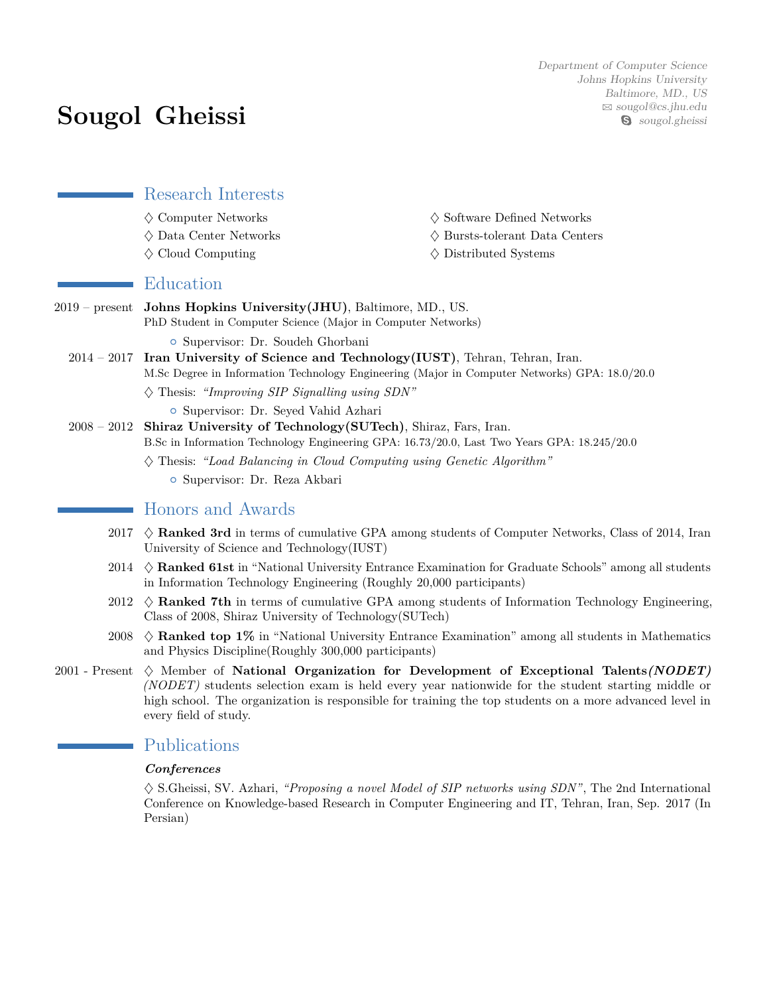# **Sougol Gheissi**

Department of Computer Science Johns Hopkins University Baltimore, MD., US  $\boxtimes$  [sougol@cs.jhu.edu](mailto:sougol@cs.jhu.edu) S sougol.gheissi

Research Interests

- 
- 
- 
- $\Diamond$  Computer Networks  $\Diamond$  Software Defined Networks
- $\Diamond$  Data Center Networks  $\Diamond$  Bursts-tolerant Data Centers
- $\diamondsuit$  Cloud Computing  $\qquad \qquad \diamondsuit$  Distributed Systems

## Education

- 2019 present **Johns Hopkins University(JHU)**, Baltimore, MD., US. PhD Student in Computer Science (Major in Computer Networks)
	- { Supervisor: Dr. Soudeh Ghorbani
	- 2014 2017 **Iran University of Science and Technology(IUST)**, Tehran, Tehran, Iran. M.Sc Degree in Information Technology Engineering (Major in Computer Networks) GPA: 18.0/20.0
		- ♦ Thesis: *"Improving SIP Signalling using SDN"* { Supervisor: Dr. Seyed Vahid Azhari
	- 2008 2012 **Shiraz University of Technology(SUTech)**, Shiraz, Fars, Iran. B.Sc in Information Technology Engineering GPA: 16.73/20.0, Last Two Years GPA: 18.245/20.0
		- ♦ Thesis: *"Load Balancing in Cloud Computing using Genetic Algorithm"* { Supervisor: Dr. Reza Akbari

# Honors and Awards

- 2017 ♦ **Ranked 3rd** in terms of cumulative GPA among students of Computer Networks, Class of 2014, Iran University of Science and Technology(IUST)
- 2014 ♦ **Ranked 61st** in "National University Entrance Examination for Graduate Schools" among all students in Information Technology Engineering (Roughly 20,000 participants)
- 2012  $\Diamond$  **Ranked 7th** in terms of cumulative GPA among students of Information Technology Engineering, Class of 2008, Shiraz University of Technology(SUTech)
- 2008 ♦ **Ranked top 1%** in "National University Entrance Examination" among all students in Mathematics and Physics Discipline(Roughly 300,000 participants)
- 2001 Present ♦ Member of **National Organization for Development of Exceptional Talents***(NODET) (NODET)* students selection exam is held every year nationwide for the student starting middle or high school. The organization is responsible for training the top students on a more advanced level in every field of study.

# Publications

#### *Conferences*

♦ S.Gheissi, SV. Azhari, *"Proposing a novel Model of SIP networks using SDN"*, The 2nd International Conference on Knowledge-based Research in Computer Engineering and IT, Tehran, Iran, Sep. 2017 (In Persian)